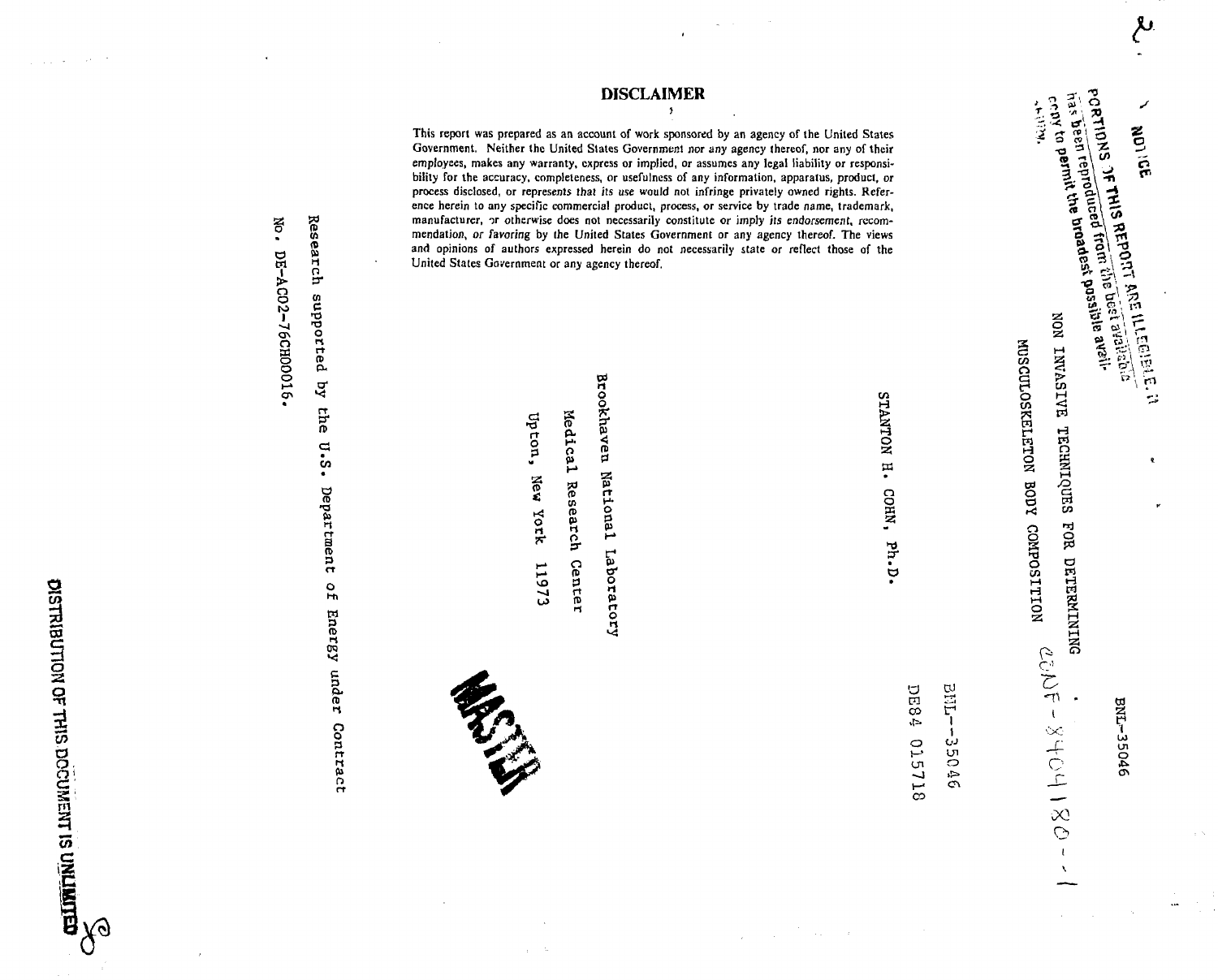**CONTRIGUES** CONTRIGUES IN THE REAL PROPERTY

 $\tau_{\rm{max}}$  and  $\tau_{\rm{max}}$  and  $\tau_{\rm{max}}$ 

**Oo101**

No.

**CA(D("Hn**

**cnCT3Ortrt0**

**rtn>ccn**

**a n> •aCo**

**rtSaa**

**o**

**E** *an***c** 

**In>** I-J

*9***3rt**

نغ<br>C

**ngoo**

This report was prepared as an account of work sponsored by an agency of the United States Government. Neither the United States Government nor any agency thereof, nor any of their employees, makes any warranty, express or implied, or assumes any legal liability or responsibilit y fo r th e accuracy , completeness , o r usefulnes s o f an y information , apparatus , product , *or* process disclosed, or represents that its use would not infringe privately owned rights. Reference herein to any specific commercial product, process, or service by trade name, trademark, manufacturer, or otherwise does not necessarily constitute or imply its endorsement, recommendation, or favoring by the United States Government or any agency thereof. The views and opinions of authors expressed herein do not necessarily state or reflect those of the United States Government or any agency thereof.

**DISCLAIME R**

**C**BE **soidrtn>r( 8 7oI5IB***0***pose ITo rt**

11973

**r tO3**

**O rt** *7?*

**ROWLING** 

**aCOin** *CO*

**IIOJ**

**Ul oen**

**IHO2!**STANTON H.

COHN, Ph.D.

NON INVASIVE TECHNIQUES MOILLISOANOO AODA COMBOILLIOM FOR DETERMINING ىلإ

**NOTICE<br>PORTIDNS OF THIS REPORT AND BEST PRESSURED CONTINUES** NU THIS REPORT AND LETTLE REPORT AND LATER CONTRACTS OF THE REPORT OF REPORT AND REPORT OF THE REPORT OF THE REPORT OF THE REPORT OF THE REPORT OF THE REPORT OF THE REPORT OF THE REPORT OF THE REPORT OF THE REPORT OF THE R PORTIONS OF THIS REAL TREVE Dest d'auxine de la Santiane de la Contrat de la Contrat de la Contrat de la Contr<br>Fras de le reproduce d'Ardat possible de la Villa<br>Crany to Permit the broadest possible de la LNV.

يية

**REACT** 

**0 0**

 $\bar{\pmb{\ell}}$  $\bar{\chi}$  BNI-35046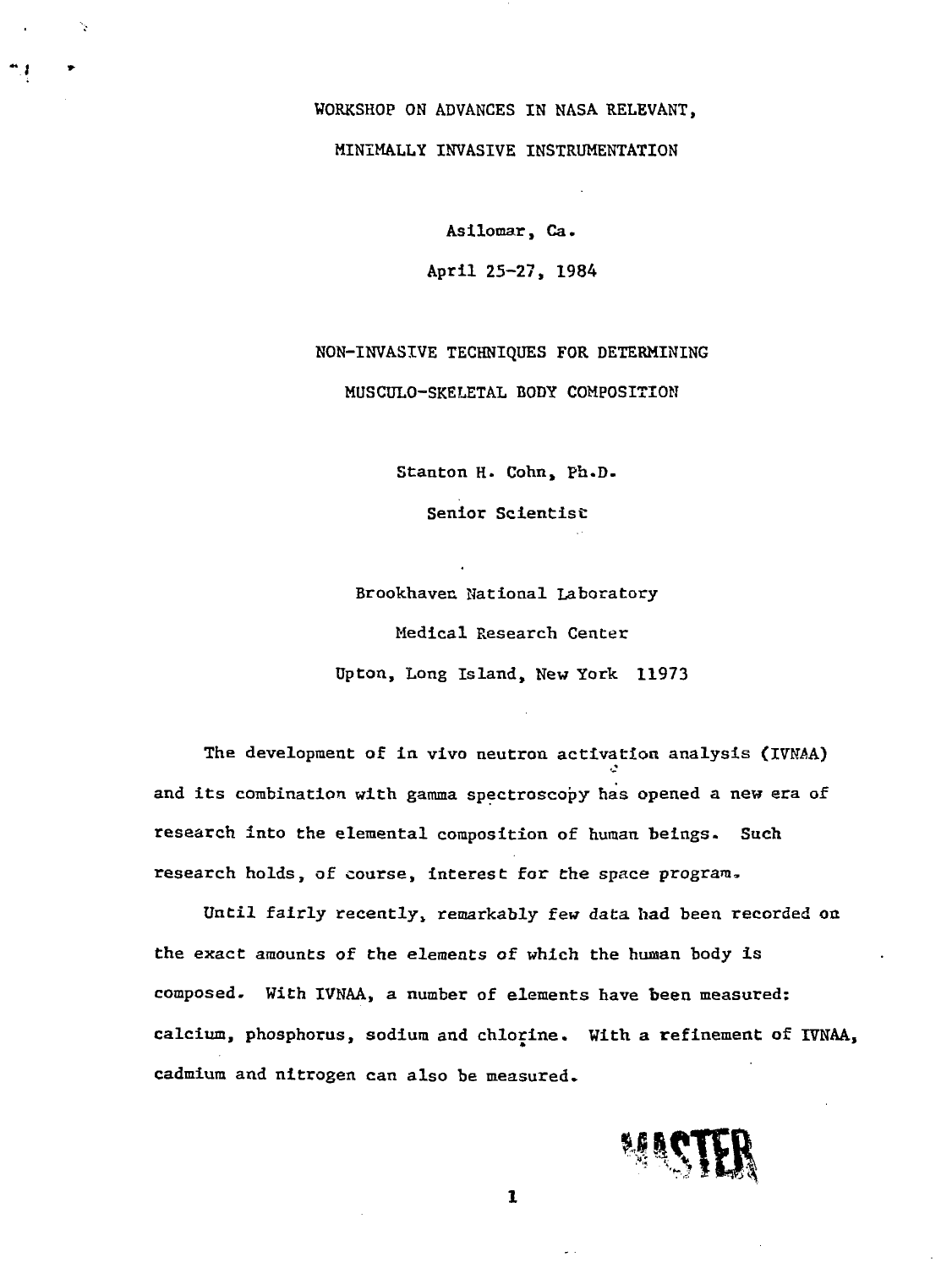WORKSHOP ON ADVANCES IN NASA RELEVANT, MINIMALLY INVASIVE INSTRUMENTATION

٠,

Asilomar, Ca. April 25-27, 1984

NON-INVASIVE TECHNIQUES FOR DETERMINING MUSCULO-SKELETAL BODY COMPOSITION

Stanton H. Cohn, Ph.D.

Senior Scientist:

Brookhaven National Laboratory Medical Research Center Upton, Long Island, New York 11973

The development of in vivo neutron activation analysis (IVNAA) and its combination with gamma spectroscopy has opened a new era of research into the elemental composition of human beings- Such research holds, of course, interest for the space program,

Until fairly recently, remarkably few data had been recorded on the exact amounts of the elements of which the human body is composed. With IVNAA, a number of elements have been measured: calcium, phosphorus, sodium and chlorine. With a refinement of IVNAA, cadmium and nitrogen can also be measured.



 $\mathbf{I}$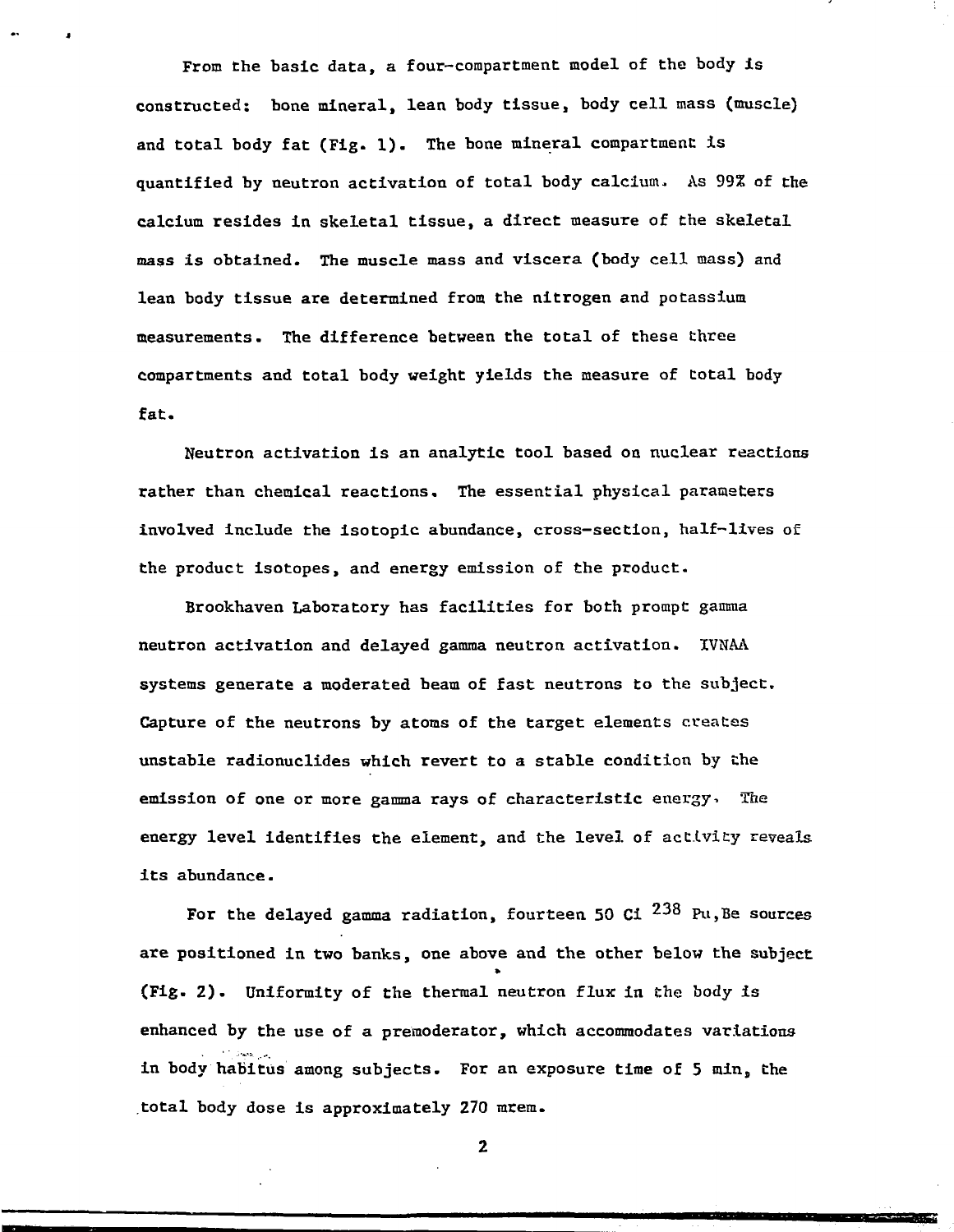From the basic data, a four-compartment model of the body is constructed: bone mineral, lean body tissue, body cell mass (muscle) and total body fat (Fig. 1). The bone mineral compartment is quantified by neutron activation of total body calcium. As 99% of the calcium resides in skeletal tissue, a direct measure of the skeletal mass is obtained. The muscle mass and viscera (body cell mass) and lean body tissue are determined from the nitrogen and potassium measurements. The difference between the total of these three compartments and total body weight yields the measure of total body fat.

Neutron activation is an analytic tool based on nuclear reactions rather than chemical reactions. The essential physical parameters involved include the isotopic abundance, cross-section, half-lives of the product isotopes, and energy emission of the product-

Brookhaven Laboratory has facilities for both prompt gamma neutron activation and delayed gamma neutron activation. IVNAA systems generate a moderated beam of fast neutrons to the subject. Capture of the neutrons by atoms of the target elements creates unstable radionuclides which revert to a stable condition by the emission of one or more gamma rays of characteristic energy. The energy level identifies the element, and the level of activity reveals its abundance.

For the delayed gamma radiation, fourteen 50 Ci  $^{238}$  Pu, Be sources are positioned in two banks, one above and the other below the subject (Fig. Z) . Uniformity of the thermal neutron flux in the body is enhanced by the use of a premoderator, which accommodates variations in body habitus among subjects. For an exposure time of 5 min, the total body dose is approximately 270 mrem.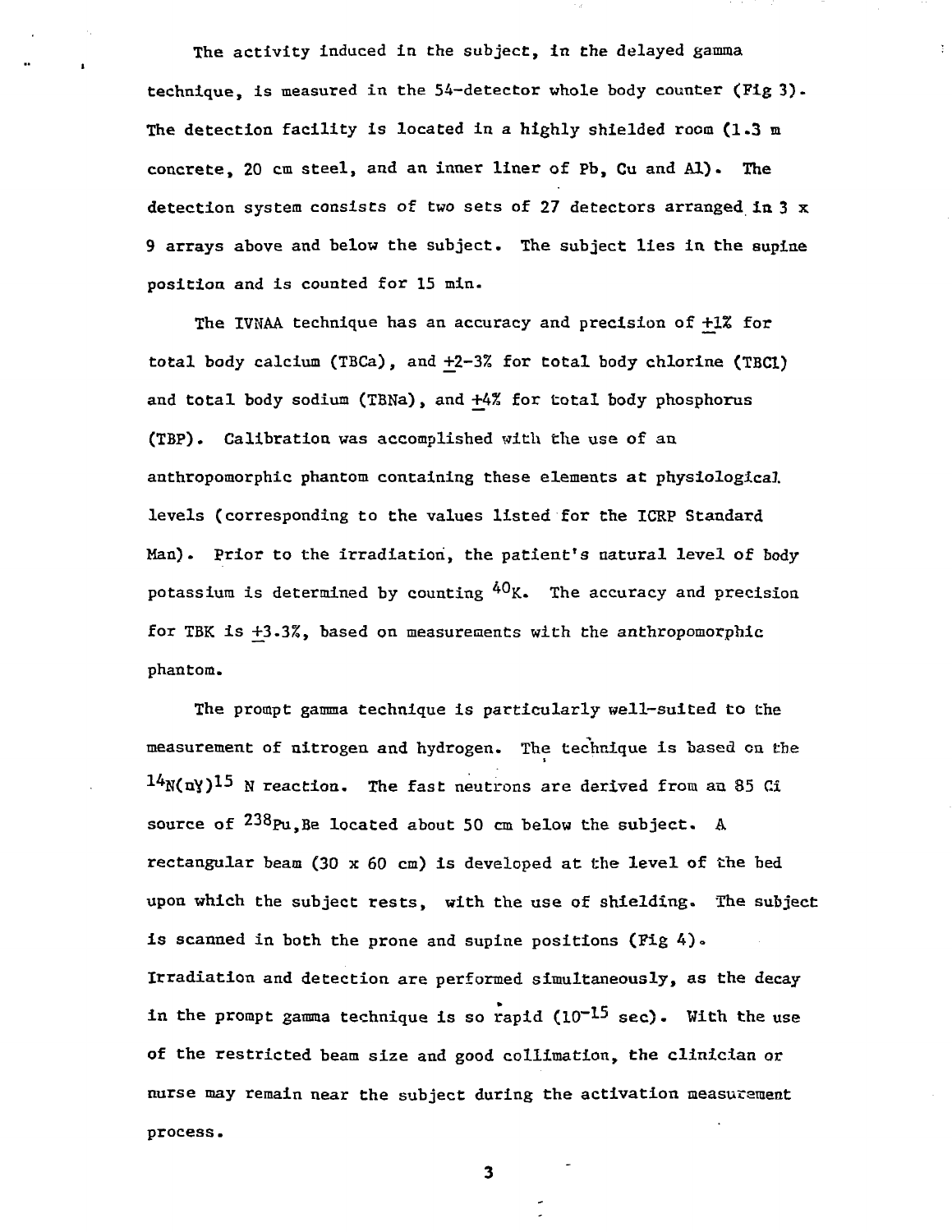The activity induced in the subject, in the delayed gamma technique, is measured in the 54-detector whole body counter (Fig 3). The detection facility is located in a highly shielded room (1.3 m concrete, 20 cm steel, and an inner liner of Pb, Cu and Al). The detection system consists of two sets of 27 detectors arranged In 3 x 9 arrays above and below the subject. The subject lies in the supine position and is counted for 15 min.

The IVNAA technique has an accuracy and precision of +1% for total body calcium (TBCa), and +2-3% for total body chlorine (TBC1) and total body sodium (TBNa), and +4% for total body phosphorus (TBP). Calibration was accomplished with the use of an anthropomorphic phantom containing these elements at physiological levels (corresponding to the values listed for the ICRP Standard Man). Prior to the irradiation, the patient's natural level of body potassium is determined by counting  $^{40}$ K. The accuracy and precision for TBK is +3.3%, based on measureaents with the anthropomorphic phantom.

The prompt gamma technique is particularly well-suited to the measurement of nitrogen and hydrogen. The technique is based on the  $^{14}$ N(nY) <sup>15</sup> N reaction. The fast neutrons are derived from an 85 Ci source of  $^{238}$ Pu, Be located about 50 cm below the subject. A rectangular beam (30 x 60 cm) is developed at the level of the bed upon which the subject rests, with the use of shielding. The subject is scanned in both the prone and supine positions (Fig  $4$ ). Irradiation and detection are performed simultaneously, as the decay in the prompt gamma technique is so rapid  $(10^{-15}$  sec). With the use of the restricted beam size and good collimation, the clinician or nurse may remain near the subject during the activation measurement process.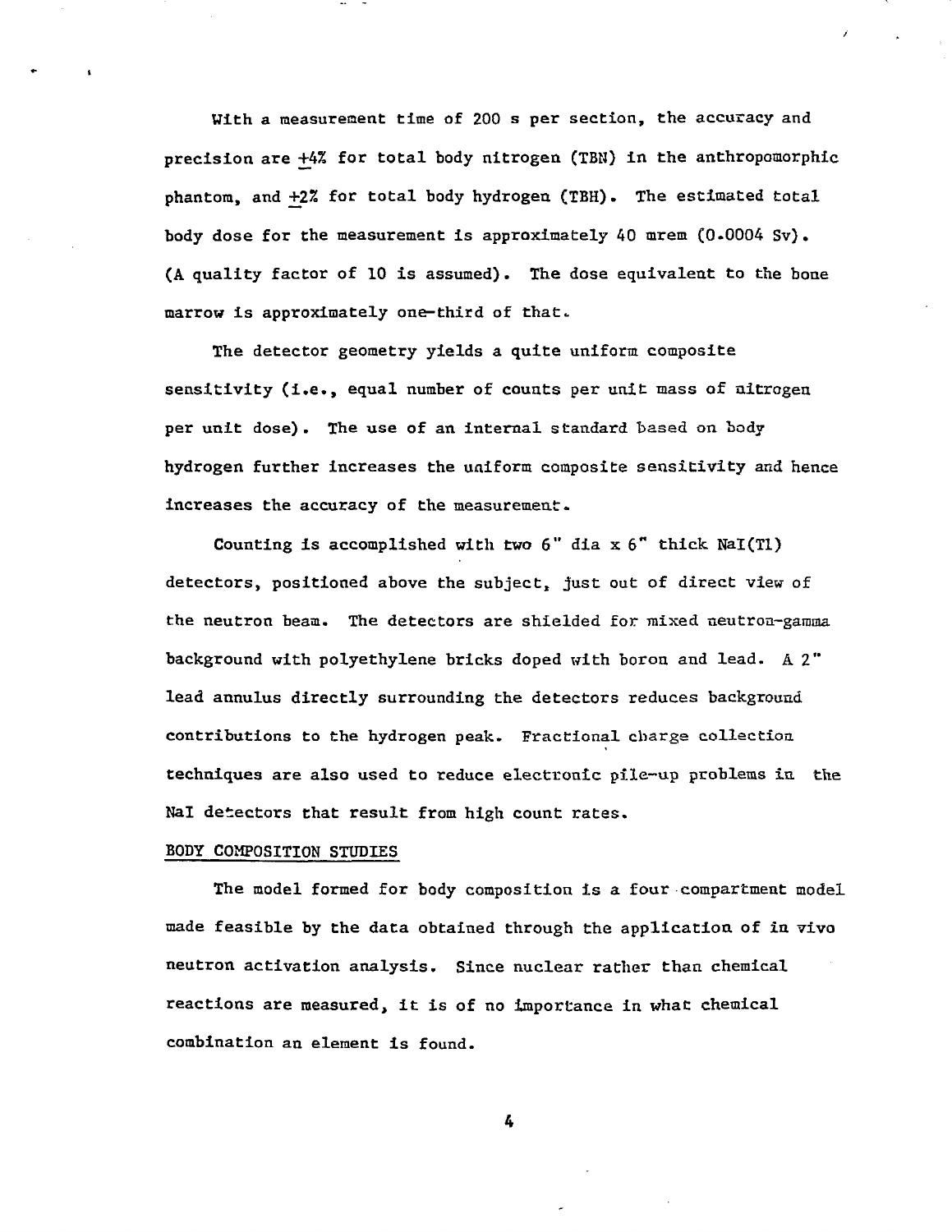With a measurement time of 200 s per section, the accuracy and precision are +4% for total body nitrogen (TBN) in the anthropomorphic phantom, and +2% for total body hydrogen (TBH). The estimated total body dose for the measurement is approximately  $40$  mrem  $(0.0004 Sv)$ . (A quality factor of 10 is assumed). The dose equivalent to the bone marrow is approximately one-third of that.

The detector geometry yields a quite uniform composite sensitivity (i.e., equal number of counts per unit mass of nitrogen per unit dose) . The use of an internal standard based on body hydrogen further increases the uniform composite sensitivity and hence increases the accuracy of the measurement.

Counting is accomplished with two  $6''$  dia  $x 6''$  thick NaI(Tl) detectors, positioned above the subject, just out of direct view of the neutron beam. The detectors are shielded for mixed neutron-gamma background with polyethylene bricks doped with boron and lead. A 2" lead annulus directly surrounding the detectors reduces background contributions to the hydrogen peak. Fractional charge collection techniques are also used to reduce electronic pile-up problems in. the Nal detectors that result from high count rates.

## BODY COMPOSITION STUDIES

The model formed for body composition is a four compartment model made feasible by the data obtained through the application of in vivo neutron activation analysis. Since nuclear rather than chemical reactions are measured, it is of no importance in what chemical combination an element is found.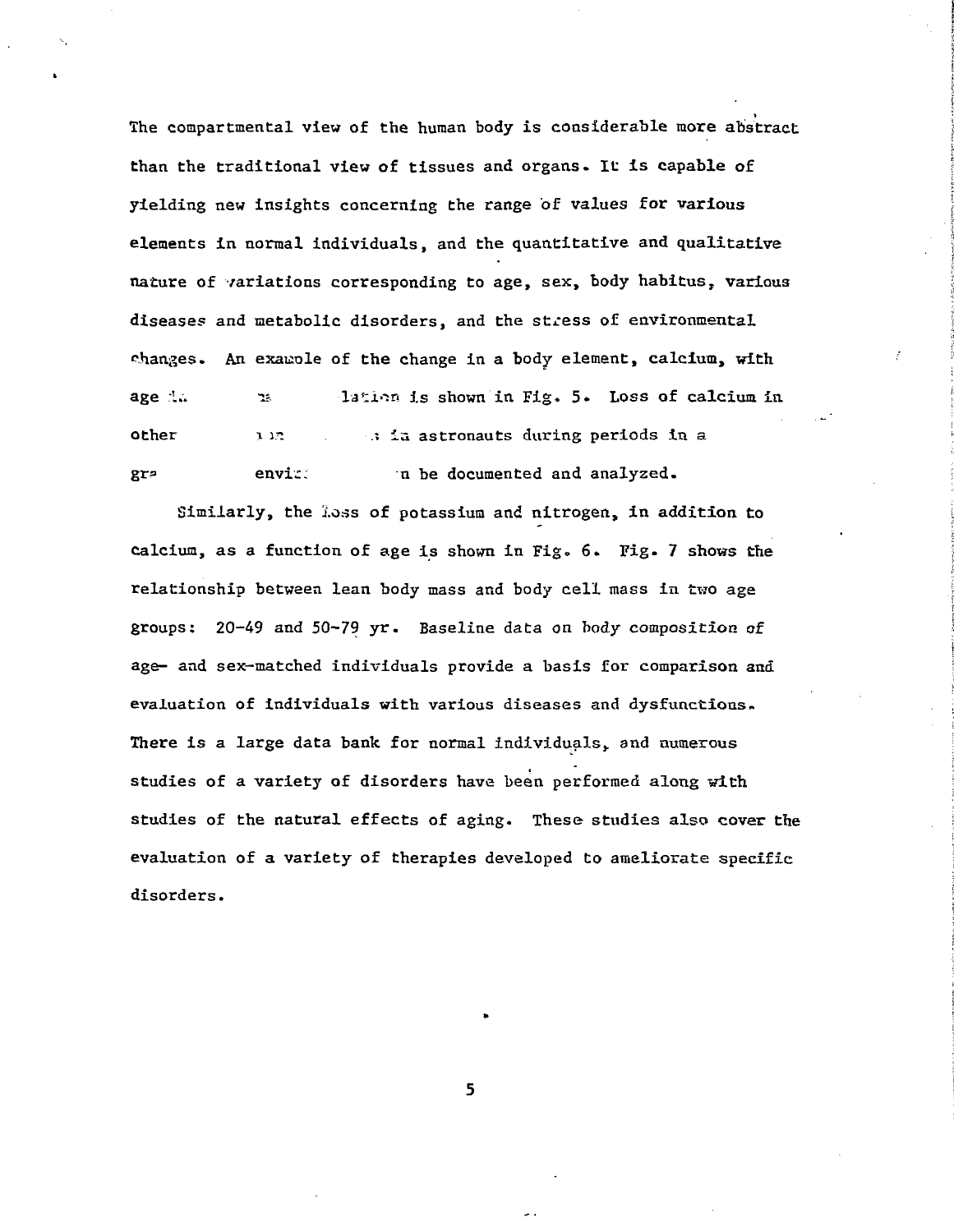The compartmental view of the human body is considerable more abstract than the traditional view of tissues and organs. It is capable of yielding new insights concerning the range of values for various elements in normal individuals, and the quantitative and qualitative nature of variations corresponding to age, sex, body habitus, various diseases and metabolic disorders, and the stress of environmental changes. An exauple of the change in a body element, calcium, with age in the lation is shown in Fig. 5. Loss of calcium in other the sin . In astronauts during periods in a gra envice and environmented and analyzed.

Similarly, the loss of potassium and nitrogen, in addition to calcium, as a function of age is shown in Fig. 6. Fig- 7 shows the relationship between lean body mass and body cell mass in two age groups:  $20-49$  and  $50-79$  yr. Baseline data on body composition of age- and sex-matched individuals provide a basis for comparison and evaluation of individuals with various diseases and dysfunctions. There is a large data bank for normal individuals, and numerous studies of a variety of disorders have been performed along with studies of the natural effects of aging. These studies also cover the evaluation of a variety of therapies developed to ameliorate specific disorders.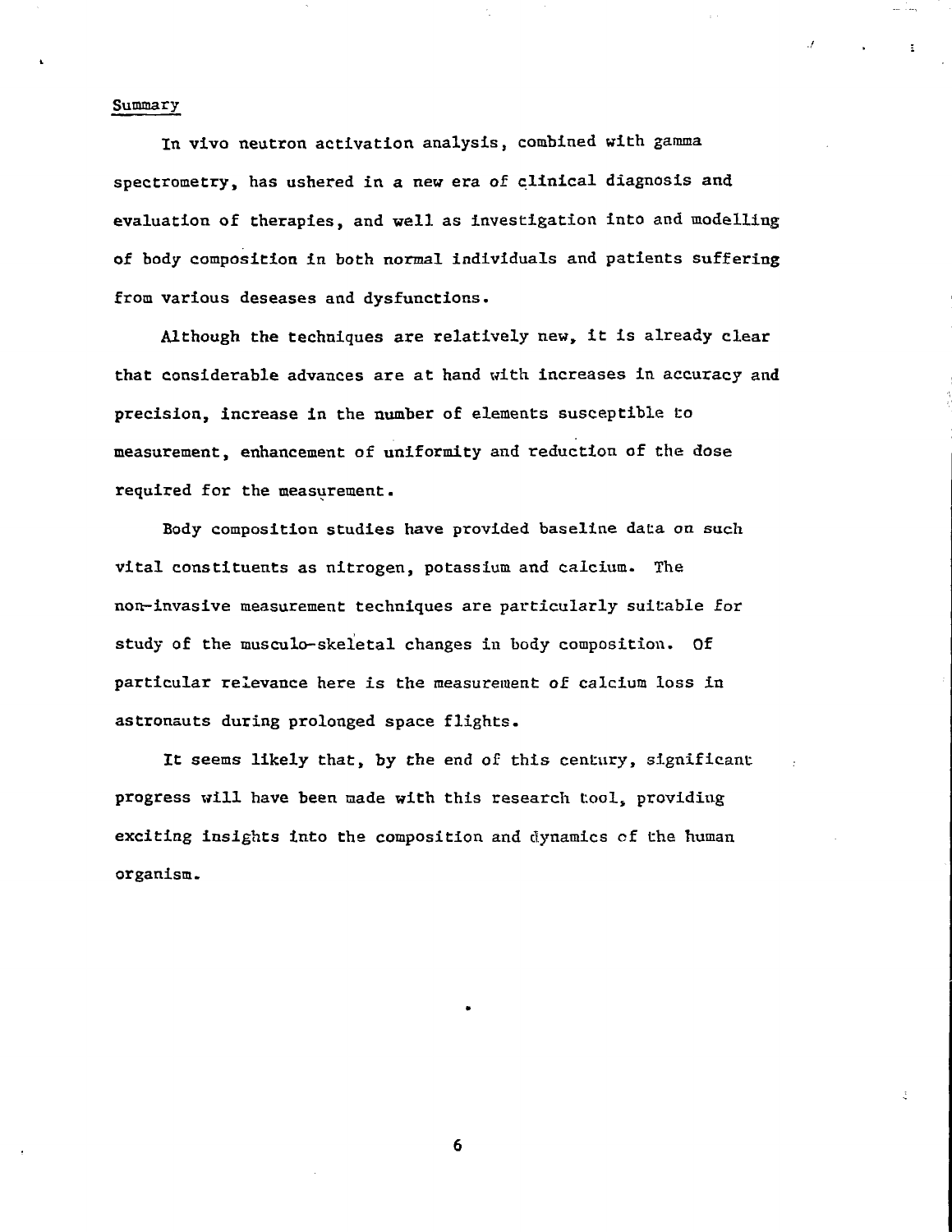### Summary

In vivo neutron activation analysis, combined with gamma spectrometry, has ushered in a new era of clinical diagnosis and evaluation of therapies, and well as investigation into and modelling of body composition in both normal individuals and patients suffering from various deseases and dysfunctions.

Although the techniques are relatively new, it is already clear that considerable advances are at hand with increases in accuracy and precision, increase in the number of elements susceptible to measurement, enhancement of uniformity and reduction of the dose required for the measurement.

Body composition studies have provided baseline data on such vital constituents as nitrogen, potassium and calcium. The non-invasive measurement techniques are particularly suitable for study of the musculo-skeletal changes in body composition. Of particular relevance here is the measurement of calcium loss in astronauts during prolonged space flights.

It seems likely that, by the end of this century, significant progress will have been made with this research tool, providing exciting insights into the composition and dynamics of the human organism.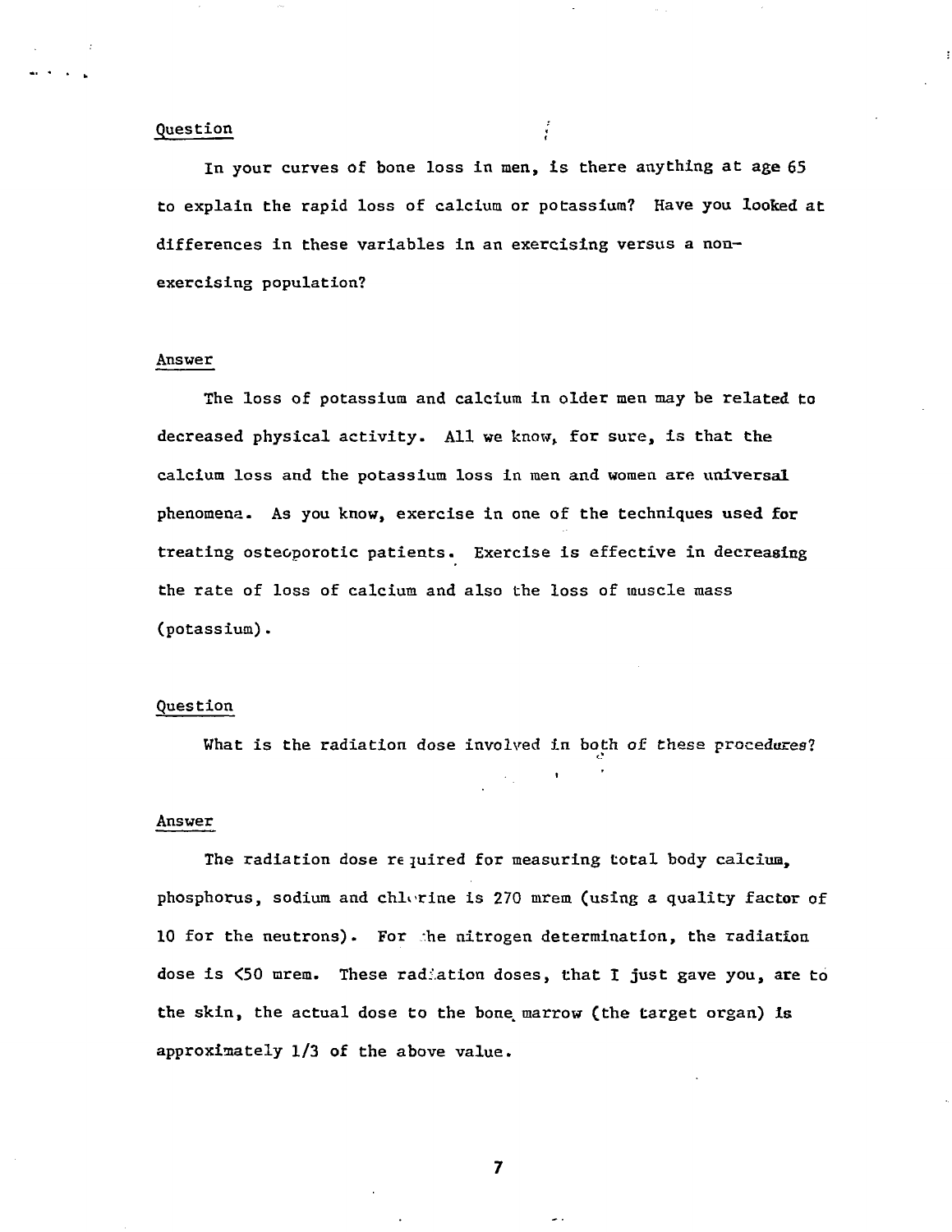## Question ;

In your curves of bone loss in men, is there anything at age 65 to explain the rapid loss of calcium or potassium? Have you looked at differences in these variables in an exercising versus a nonexercising population?

# Answer

The loss of potassium and calcium in older men may be related to decreased physical activity. All we know, for sure, is that the calcium loss and the potassium loss in men and women are universal phenomena. As you know, exercise in one of the techniques used for treating osteoporotic patients. Exercise is effective in decreasing the rate of loss of calcium and also the loss of muscle mass (potassium).

### Question

What is the radiation dose involved in both of these procedures?

 $\sim 10^{11}$ 

### Answer

The radiation dose re juired for measuring total body calcium, phosphorus, sodium and chlorine is 270 mrem (using a quality factor of 10 for the neutrons). For the nitrogen determination, the radiation dose is <50 mrem. These radiation doses, that I just gave you, are to the skin, the actual dose to the bone, marrow (the target organ) is approximately 1/3 of the above value.

 $\overline{7}$